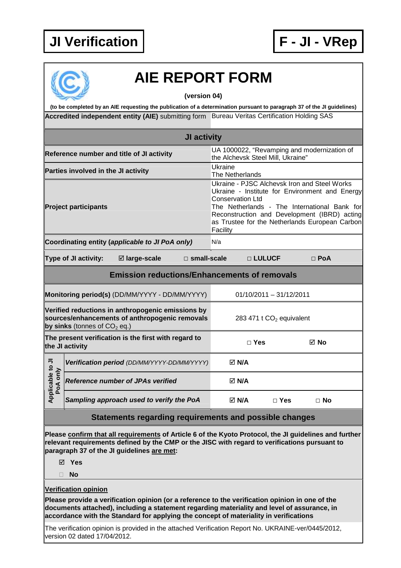## **JI Verification F - JI - VRep**



## **AIE REPORT FORM**

**(version 04)** 

Accredited independent entity (AIE) submitting form Bureau Veritas Certification Holding SAS **(to be completed by an AIE requesting the publication of a determination pursuant to paragraph 37 of the JI guidelines)** 

|                                                                                                                                       |                                          |                                                     | <b>JI activity</b> |                                                                                                                                                                                                                                                                                         |                                                                                  |            |            |  |  |
|---------------------------------------------------------------------------------------------------------------------------------------|------------------------------------------|-----------------------------------------------------|--------------------|-----------------------------------------------------------------------------------------------------------------------------------------------------------------------------------------------------------------------------------------------------------------------------------------|----------------------------------------------------------------------------------|------------|------------|--|--|
| Reference number and title of JI activity                                                                                             |                                          |                                                     |                    |                                                                                                                                                                                                                                                                                         | UA 1000022, "Revamping and modernization of<br>the Alchevsk Steel Mill, Ukraine" |            |            |  |  |
| Parties involved in the JI activity                                                                                                   |                                          |                                                     |                    |                                                                                                                                                                                                                                                                                         | Ukraine<br>The Netherlands                                                       |            |            |  |  |
| <b>Project participants</b>                                                                                                           |                                          |                                                     |                    | Ukraine - PJSC Alchevsk Iron and Steel Works<br>Ukraine - Institute for Environment and Energy<br><b>Conservation Ltd</b><br>The Netherlands - The International Bank for<br>Reconstruction and Development (IBRD) acting<br>as Trustee for the Netherlands European Carbon<br>Facility |                                                                                  |            |            |  |  |
|                                                                                                                                       |                                          | Coordinating entity (applicable to JI PoA only)     |                    | N/a                                                                                                                                                                                                                                                                                     |                                                                                  |            |            |  |  |
|                                                                                                                                       | Type of JI activity:                     | ⊠ large-scale                                       |                    | $\Box$ small-scale                                                                                                                                                                                                                                                                      | $\Box$ LULUCF                                                                    |            | $\Box$ PoA |  |  |
|                                                                                                                                       |                                          | <b>Emission reductions/Enhancements of removals</b> |                    |                                                                                                                                                                                                                                                                                         |                                                                                  |            |            |  |  |
| Monitoring period(s) (DD/MM/YYYY - DD/MM/YYYY)                                                                                        |                                          |                                                     |                    |                                                                                                                                                                                                                                                                                         | $01/10/2011 - 31/12/2011$                                                        |            |            |  |  |
| Verified reductions in anthropogenic emissions by<br>sources/enhancements of anthropogenic removals<br>by sinks (tonnes of $CO2$ eq.) |                                          |                                                     |                    |                                                                                                                                                                                                                                                                                         | 283 471 t CO <sub>2</sub> equivalent                                             |            |            |  |  |
| The present verification is the first with regard to<br>the JI activity                                                               |                                          |                                                     |                    |                                                                                                                                                                                                                                                                                         | $\Box$ Yes                                                                       |            | ⊠ No       |  |  |
| Applicable to JI<br>PoA only                                                                                                          |                                          | Verification period (DD/MM/YYYY-DD/MM/YYYY)         |                    |                                                                                                                                                                                                                                                                                         | $\boxtimes$ N/A                                                                  |            |            |  |  |
|                                                                                                                                       | <b>Reference number of JPAs verified</b> |                                                     |                    |                                                                                                                                                                                                                                                                                         | $\boxtimes$ N/A                                                                  |            |            |  |  |
|                                                                                                                                       |                                          | Sampling approach used to verify the PoA            |                    |                                                                                                                                                                                                                                                                                         | $\boxtimes$ N/A                                                                  | $\Box$ Yes | $\Box$ No  |  |  |

**Statements regarding requirements and possible changes** 

**Please confirm that all requirements of Article 6 of the Kyoto Protocol, the JI guidelines and further relevant requirements defined by the CMP or the JISC with regard to verifications pursuant to paragraph 37 of the JI guidelines are met:** 

**Yes** 

**No** 

**Verification opinion**

**Please provide a verification opinion (or a reference to the verification opinion in one of the documents attached), including a statement regarding materiality and level of assurance, in accordance with the Standard for applying the concept of materiality in verifications** 

The verification opinion is provided in the attached Verification Report No. UKRAINE-ver/0445/2012, version 02 dated 17/04/2012.